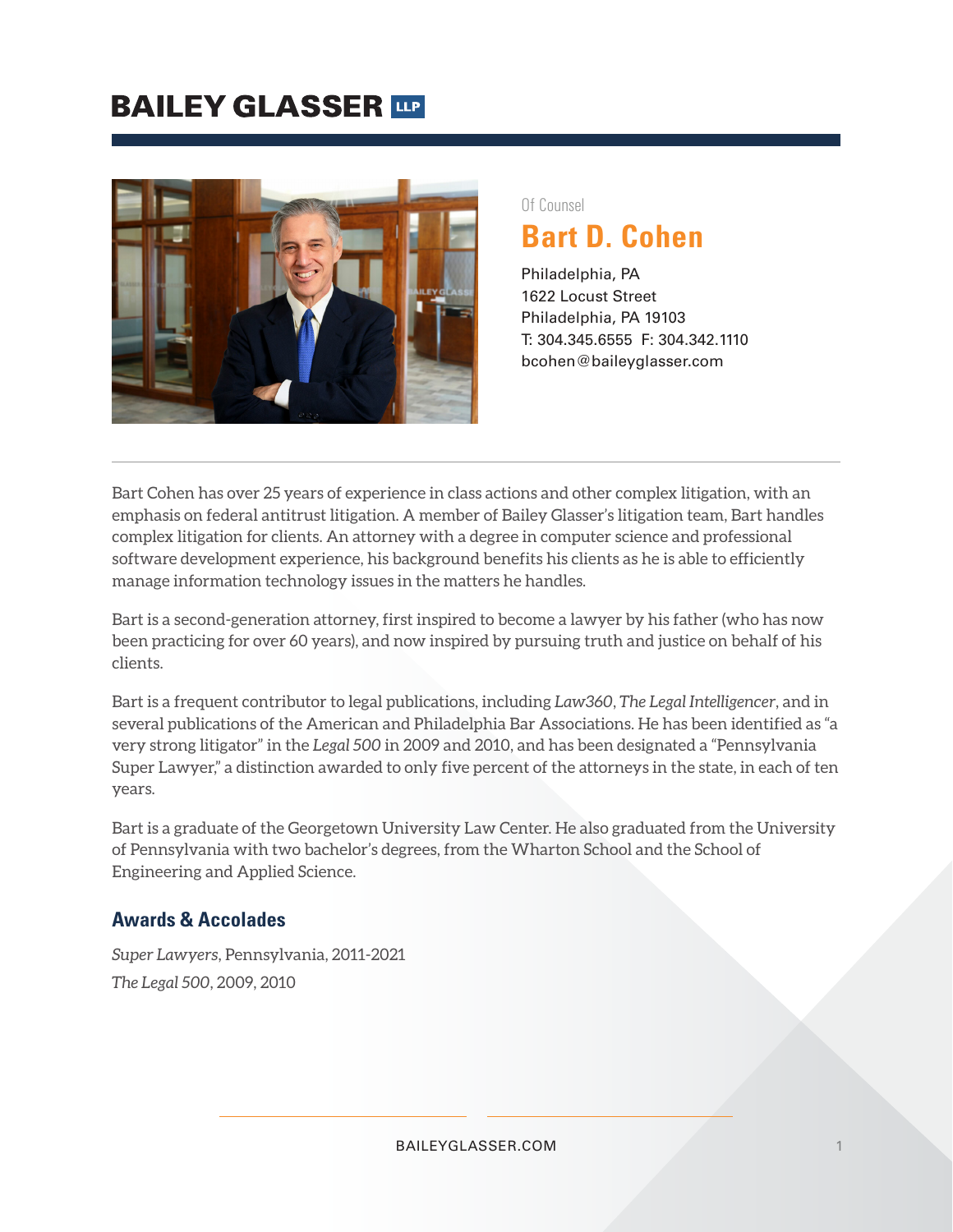# **BAILEY GLASSER TIP**



#### Of Counsel

# **Bart D. Cohen**

Philadelphia, PA 1622 Locust Street Philadelphia, PA 19103 T: 304.345.6555 F: 304.342.1110 bcohen@baileyglasser.com

Bart Cohen has over 25 years of experience in class actions and other complex litigation, with an emphasis on federal antitrust litigation. A member of Bailey Glasser's litigation team, Bart handles complex litigation for clients. An attorney with a degree in computer science and professional software development experience, his background benefits his clients as he is able to efficiently manage information technology issues in the matters he handles.

Bart is a second-generation attorney, first inspired to become a lawyer by his father (who has now been practicing for over 60 years), and now inspired by pursuing truth and justice on behalf of his clients.

Bart is a frequent contributor to legal publications, including *Law360*, *The Legal Intelligencer*, and in several publications of the American and Philadelphia Bar Associations. He has been identified as "a very strong litigator" in the *Legal 500* in 2009 and 2010, and has been designated a "Pennsylvania Super Lawyer," a distinction awarded to only five percent of the attorneys in the state, in each of ten years.

Bart is a graduate of the Georgetown University Law Center. He also graduated from the University of Pennsylvania with two bachelor's degrees, from the Wharton School and the School of Engineering and Applied Science.

#### **Awards & Accolades**

*Super Lawyers*, Pennsylvania, 2011-2021 *The Legal 500*, 2009, 2010